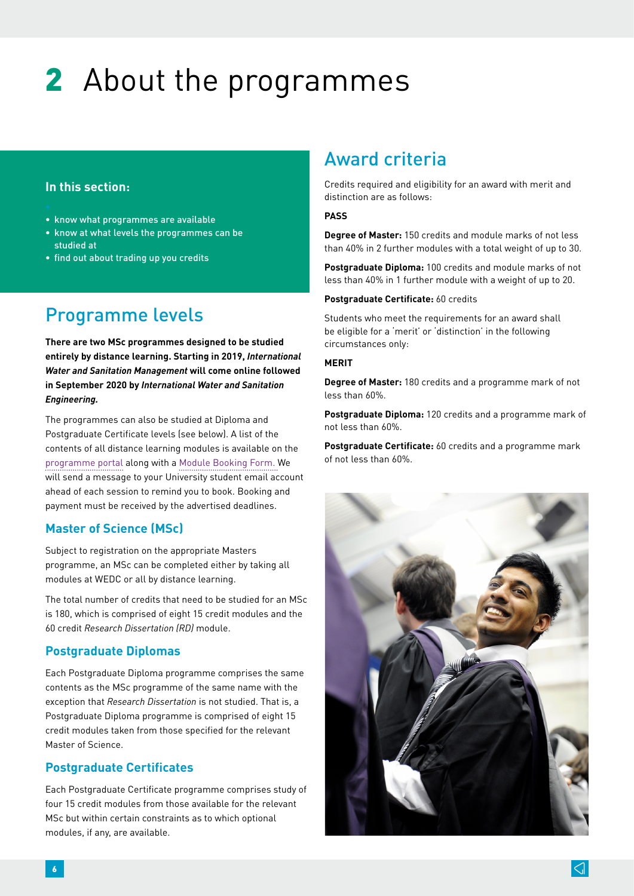# 2 About the programmes

### **In this section:**

- know what programmes are available
- know at what levels the programmes can be studied at
- find out about trading up you credits

# Programme levels

**There are two MSc programmes designed to be studied entirely by distance learning. Starting in 2019,** *International Water and Sanitation Management* **will come online followed in September 2020 by** *International Water and Sanitation Engineering.* 

The programmes can also be studied at Diploma and Postgraduate Certificate levels (see below). A list of the contents of all distance learning modules is available on the [programme portal](http://www.lboro.ac.uk/research/wedc/programmes/iwsm-portal) along with a [Module Booking Form](http://www.lboro.ac.uk/research/wedc/programmes/iwsm-portal). We will send a message to your University student email account ahead of each session to remind you to book. Booking and payment must be received by the advertised deadlines.

### **Master of Science (MSc)**

Subject to registration on the appropriate Masters programme, an MSc can be completed either by taking all modules at WEDC or all by distance learning.

The total number of credits that need to be studied for an MSc is 180, which is comprised of eight 15 credit modules and the 60 credit *Research Dissertation (RD)* module.

### **Postgraduate Diplomas**

Each Postgraduate Diploma programme comprises the same contents as the MSc programme of the same name with the exception that *Research Dissertation* is not studied. That is, a Postgraduate Diploma programme is comprised of eight 15 credit modules taken from those specified for the relevant Master of Science.

### **Postgraduate Certificates**

Each Postgraduate Certificate programme comprises study of four 15 credit modules from those available for the relevant MSc but within certain constraints as to which optional modules, if any, are available.

# Award criteria

Credits required and eligibility for an award with merit and distinction are as follows:

#### **PASS**

**Degree of Master:** 150 credits and module marks of not less than 40% in 2 further modules with a total weight of up to 30.

**Postgraduate Diploma:** 100 credits and module marks of not less than 40% in 1 further module with a weight of up to 20.

#### **Postgraduate Certificate:** 60 credits

Students who meet the requirements for an award shall be eligible for a 'merit' or 'distinction' in the following circumstances only:

#### **MERIT**

**Degree of Master:** 180 credits and a programme mark of not less than 60%.

**Postgraduate Diploma:** 120 credits and a programme mark of not less than 60%.

**Postgraduate Certificate:** 60 credits and a programme mark of not less than 60%.